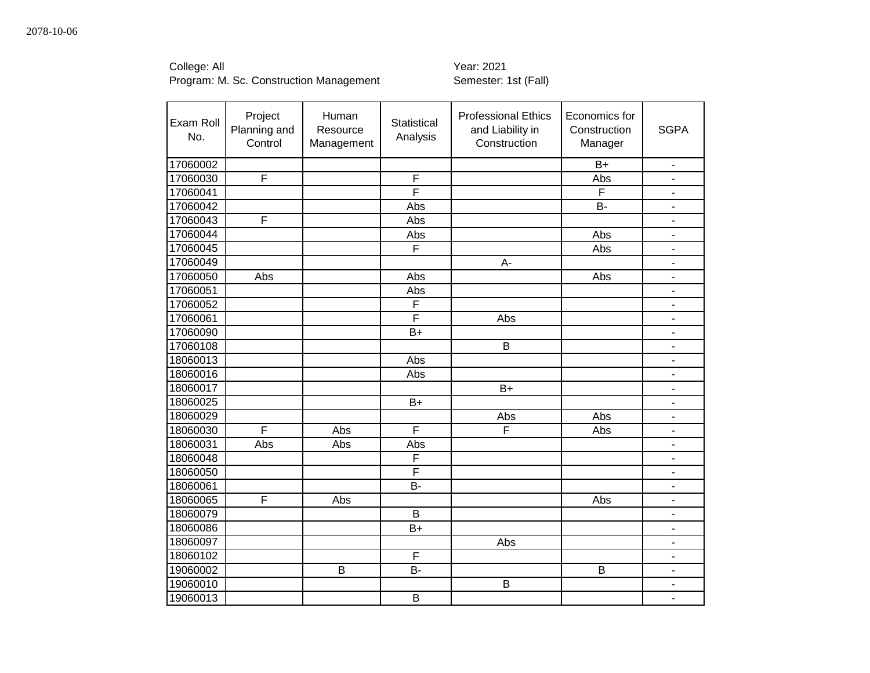College: All Year: 2021

| Exam Roll<br>No. | Project<br>Planning and<br>Control | Human<br>Resource<br>Management | Statistical<br>Analysis | <b>Professional Ethics</b><br>and Liability in<br>Construction | Economics for<br>Construction<br>Manager | <b>SGPA</b>              |
|------------------|------------------------------------|---------------------------------|-------------------------|----------------------------------------------------------------|------------------------------------------|--------------------------|
| 17060002         |                                    |                                 |                         |                                                                | $B+$                                     | $\blacksquare$           |
| 17060030         | $\overline{\mathsf{F}}$            |                                 | F                       |                                                                | Abs                                      |                          |
| 17060041         |                                    |                                 | F                       |                                                                | F                                        | $\blacksquare$           |
| 17060042         |                                    |                                 | Abs                     |                                                                | B-                                       | $\blacksquare$           |
| 17060043         | $\overline{F}$                     |                                 | Abs                     |                                                                |                                          | $\overline{\phantom{a}}$ |
| 17060044         |                                    |                                 | Abs                     |                                                                | Abs                                      | $\blacksquare$           |
| 17060045         |                                    |                                 | F                       |                                                                | Abs                                      | $\blacksquare$           |
| 17060049         |                                    |                                 |                         | A-                                                             |                                          | $\blacksquare$           |
| 17060050         | Abs                                |                                 | Abs                     |                                                                | Abs                                      | $\overline{\phantom{a}}$ |
| 17060051         |                                    |                                 | Abs                     |                                                                |                                          | $\blacksquare$           |
| 17060052         |                                    |                                 | $\overline{\mathsf{F}}$ |                                                                |                                          | $\blacksquare$           |
| 17060061         |                                    |                                 | F                       | Abs                                                            |                                          | $\blacksquare$           |
| 17060090         |                                    |                                 | $B+$                    |                                                                |                                          | $\blacksquare$           |
| 17060108         |                                    |                                 |                         | B                                                              |                                          | $\overline{\phantom{a}}$ |
| 18060013         |                                    |                                 | Abs                     |                                                                |                                          | $\blacksquare$           |
| 18060016         |                                    |                                 | Abs                     |                                                                |                                          | $\overline{\phantom{a}}$ |
| 18060017         |                                    |                                 |                         | $B+$                                                           |                                          | $\blacksquare$           |
| 18060025         |                                    |                                 | $B+$                    |                                                                |                                          | $\blacksquare$           |
| 18060029         |                                    |                                 |                         | Abs                                                            | Abs                                      | $\overline{\phantom{a}}$ |
| 18060030         | F                                  | Abs                             | $\overline{\mathsf{F}}$ | F                                                              | Abs                                      | $\blacksquare$           |
| 18060031         | Abs                                | Abs                             | Abs                     |                                                                |                                          | $\blacksquare$           |
| 18060048         |                                    |                                 | F                       |                                                                |                                          | $\overline{a}$           |
| 18060050         |                                    |                                 | F                       |                                                                |                                          | $\blacksquare$           |
| 18060061         |                                    |                                 | $\overline{B}$          |                                                                |                                          | $\blacksquare$           |
| 18060065         | F                                  | Abs                             |                         |                                                                | Abs                                      | $\blacksquare$           |
| 18060079         |                                    |                                 | B                       |                                                                |                                          | $\overline{\phantom{a}}$ |
| 18060086         |                                    |                                 | $B+$                    |                                                                |                                          | $\overline{\phantom{a}}$ |
| 18060097         |                                    |                                 |                         | Abs                                                            |                                          | $\overline{\phantom{a}}$ |
| 18060102         |                                    |                                 | $\mathsf F$             |                                                                |                                          | $\blacksquare$           |
| 19060002         |                                    | B                               | <b>B-</b>               |                                                                | B                                        | $\overline{\phantom{a}}$ |
| 19060010         |                                    |                                 |                         | B                                                              |                                          | $\overline{\phantom{a}}$ |
| 19060013         |                                    |                                 | B                       |                                                                |                                          | $\mathbf{r}$             |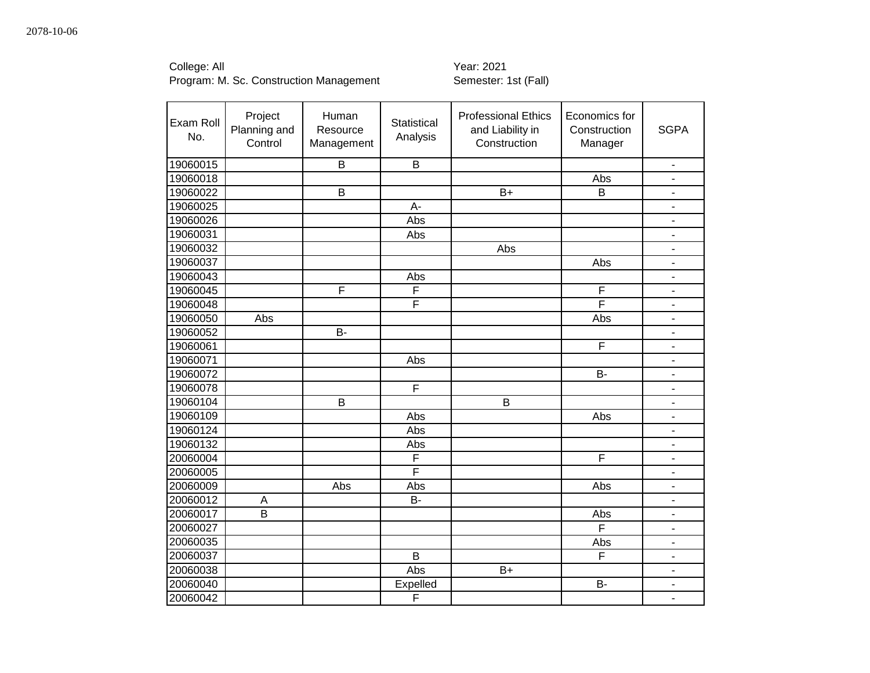| Exam Roll<br>No. | Project<br>Planning and<br>Control | Human<br>Resource<br>Management | <b>Statistical</b><br>Analysis | <b>Professional Ethics</b><br>and Liability in<br>Construction | Economics for<br>Construction<br>Manager | <b>SGPA</b>              |
|------------------|------------------------------------|---------------------------------|--------------------------------|----------------------------------------------------------------|------------------------------------------|--------------------------|
| 19060015         |                                    | B                               | B                              |                                                                |                                          | $\overline{\phantom{0}}$ |
| 19060018         |                                    |                                 |                                |                                                                | Abs                                      |                          |
| 19060022         |                                    | B                               |                                | $B+$                                                           | B                                        | -                        |
| 19060025         |                                    |                                 | A-                             |                                                                |                                          | ٠                        |
| 19060026         |                                    |                                 | Abs                            |                                                                |                                          | $\overline{\phantom{0}}$ |
| 19060031         |                                    |                                 | Abs                            |                                                                |                                          | ä,                       |
| 19060032         |                                    |                                 |                                | Abs                                                            |                                          | $\overline{\phantom{0}}$ |
| 19060037         |                                    |                                 |                                |                                                                | Abs                                      | ٠                        |
| 19060043         |                                    |                                 | Abs                            |                                                                |                                          | $\overline{a}$           |
| 19060045         |                                    | F                               | F                              |                                                                | F                                        | ٠                        |
| 19060048         |                                    |                                 | F                              |                                                                | F                                        | ä,                       |
| 19060050         | Abs                                |                                 |                                |                                                                | Abs                                      | $\overline{a}$           |
| 19060052         |                                    | B-                              |                                |                                                                |                                          | $\overline{\phantom{0}}$ |
| 19060061         |                                    |                                 |                                |                                                                | $\overline{F}$                           | $\overline{\phantom{0}}$ |
| 19060071         |                                    |                                 | Abs                            |                                                                |                                          | $\overline{\phantom{0}}$ |
| 19060072         |                                    |                                 |                                |                                                                | <b>B-</b>                                | -                        |
| 19060078         |                                    |                                 | F                              |                                                                |                                          | $\blacksquare$           |
| 19060104         |                                    | B                               |                                | B                                                              |                                          | $\overline{\phantom{0}}$ |
| 19060109         |                                    |                                 | Abs                            |                                                                | Abs                                      | ٠                        |
| 19060124         |                                    |                                 | Abs                            |                                                                |                                          | ä,                       |
| 19060132         |                                    |                                 | Abs                            |                                                                |                                          | ä,                       |
| 20060004         |                                    |                                 | F                              |                                                                | F                                        |                          |
| 20060005         |                                    |                                 | F                              |                                                                |                                          | ä,                       |
| 20060009         |                                    | Abs                             | Abs                            |                                                                | Abs                                      | ä,                       |
| 20060012         | A                                  |                                 | <b>B-</b>                      |                                                                |                                          | ÷,                       |
| 20060017         | B                                  |                                 |                                |                                                                | Abs                                      | ÷,                       |
| 20060027         |                                    |                                 |                                |                                                                | F                                        | ٠                        |
| 20060035         |                                    |                                 |                                |                                                                | Abs                                      | $\overline{\phantom{0}}$ |
| 20060037         |                                    |                                 | B                              |                                                                | F                                        | ٠                        |
| 20060038         |                                    |                                 | Abs                            | $B+$                                                           |                                          | ٠                        |
| 20060040         |                                    |                                 | Expelled                       |                                                                | <b>B-</b>                                | $\overline{\phantom{0}}$ |
| 20060042         |                                    |                                 | F                              |                                                                |                                          | ÷,                       |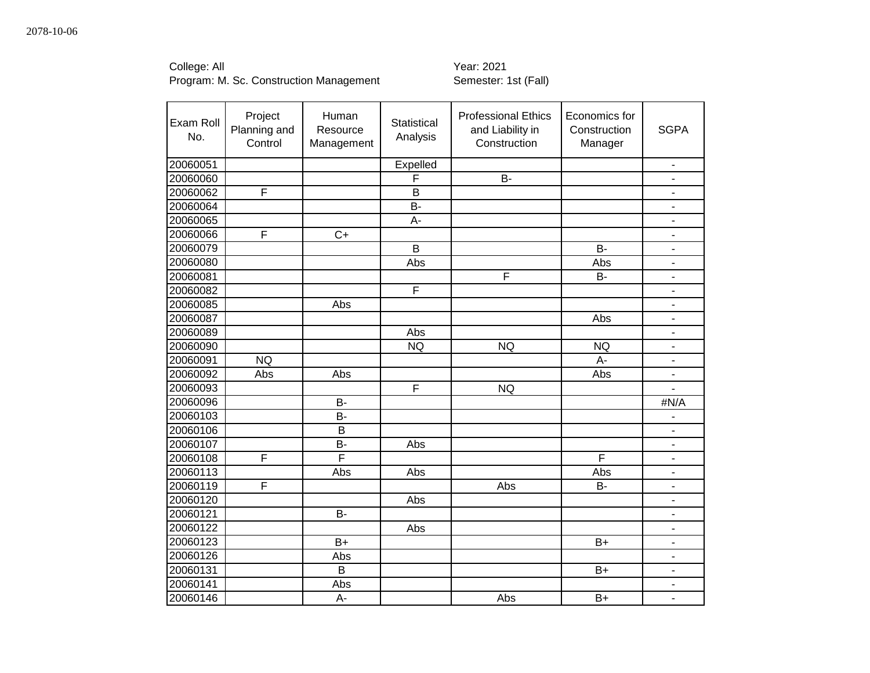College: All Year: 2021

| Exam Roll<br>No. | Project<br>Planning and<br>Control | Human<br>Resource<br>Management | Statistical<br>Analysis | <b>Professional Ethics</b><br>and Liability in<br>Construction | Economics for<br>Construction<br>Manager | <b>SGPA</b>                  |
|------------------|------------------------------------|---------------------------------|-------------------------|----------------------------------------------------------------|------------------------------------------|------------------------------|
| 20060051         |                                    |                                 | Expelled                |                                                                |                                          | $\blacksquare$               |
| 20060060         |                                    |                                 | F                       | B-                                                             |                                          |                              |
| 20060062         | F                                  |                                 | B                       |                                                                |                                          | $\overline{\phantom{m}}$     |
| 20060064         |                                    |                                 | B-                      |                                                                |                                          | $\overline{\phantom{a}}$     |
| 20060065         |                                    |                                 | A-                      |                                                                |                                          | $\qquad \qquad \blacksquare$ |
| 20060066         | F                                  | $C+$                            |                         |                                                                |                                          | $\overline{\phantom{a}}$     |
| 20060079         |                                    |                                 | B                       |                                                                | <b>B-</b>                                | $\overline{\phantom{a}}$     |
| 20060080         |                                    |                                 | Abs                     |                                                                | Abs                                      | $\blacksquare$               |
| 20060081         |                                    |                                 |                         | F                                                              | <b>B-</b>                                | $\overline{\phantom{a}}$     |
| 20060082         |                                    |                                 | F                       |                                                                |                                          | $\overline{\phantom{a}}$     |
| 20060085         |                                    | Abs                             |                         |                                                                |                                          | ÷,                           |
| 20060087         |                                    |                                 |                         |                                                                | Abs                                      | ä,                           |
| 20060089         |                                    |                                 | Abs                     |                                                                |                                          | $\overline{\phantom{a}}$     |
| 20060090         |                                    |                                 | <b>NQ</b>               | <b>NQ</b>                                                      | <b>NQ</b>                                | $\blacksquare$               |
| 20060091         | <b>NQ</b>                          |                                 |                         |                                                                | A-                                       | $\overline{\phantom{a}}$     |
| 20060092         | Abs                                | Abs                             |                         |                                                                | Abs                                      | $\blacksquare$               |
| 20060093         |                                    |                                 | F                       | <b>NQ</b>                                                      |                                          | ä,                           |
| 20060096         |                                    | B-                              |                         |                                                                |                                          | #N/A                         |
| 20060103         |                                    | <b>B-</b>                       |                         |                                                                |                                          |                              |
| 20060106         |                                    | B                               |                         |                                                                |                                          | $\overline{\phantom{a}}$     |
| 20060107         |                                    | <b>B-</b>                       | Abs                     |                                                                |                                          | $\blacksquare$               |
| 20060108         | F                                  | F                               |                         |                                                                | F                                        | $\blacksquare$               |
| 20060113         |                                    | Abs                             | Abs                     |                                                                | Abs                                      | ÷,                           |
| 20060119         | F                                  |                                 |                         | Abs                                                            | $B -$                                    | ä,                           |
| 20060120         |                                    |                                 | Abs                     |                                                                |                                          | $\blacksquare$               |
| 20060121         |                                    | B-                              |                         |                                                                |                                          |                              |
| 20060122         |                                    |                                 | Abs                     |                                                                |                                          | $\overline{\phantom{m}}$     |
| 20060123         |                                    | $B+$                            |                         |                                                                | $B+$                                     | $\qquad \qquad \blacksquare$ |
| 20060126         |                                    | Abs                             |                         |                                                                |                                          | $\overline{\phantom{a}}$     |
| 20060131         |                                    | B                               |                         |                                                                | $B+$                                     | ä,                           |
| 20060141         |                                    | Abs                             |                         |                                                                |                                          | ÷,                           |
| 20060146         |                                    | A-                              |                         | Abs                                                            | $B+$                                     |                              |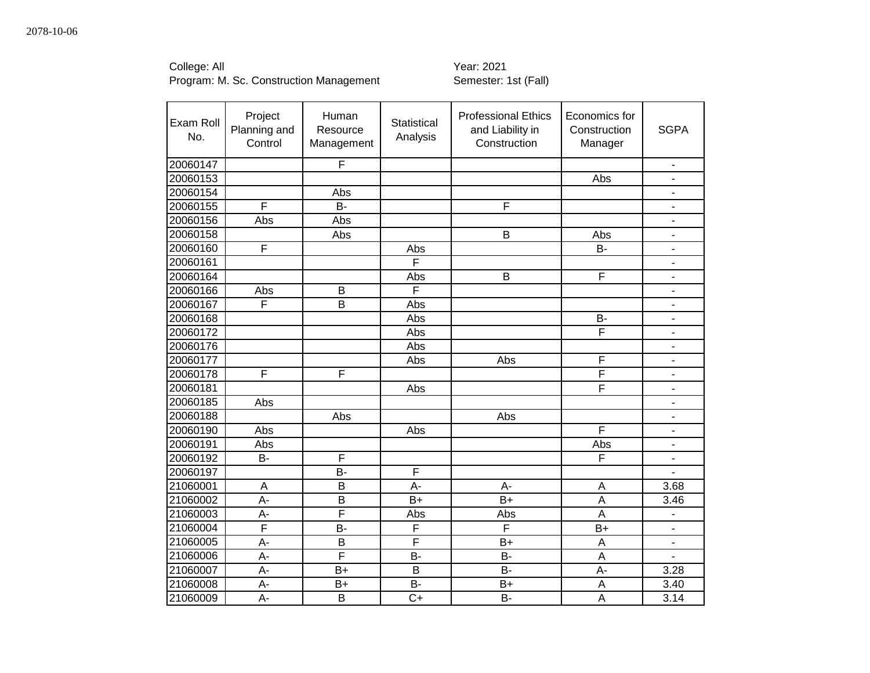| Exam Roll<br>No. | Project<br>Planning and<br>Control | Human<br>Resource<br>Management | <b>Statistical</b><br>Analysis | <b>Professional Ethics</b><br>and Liability in<br>Construction | Economics for<br>Construction<br>Manager | <b>SGPA</b>              |
|------------------|------------------------------------|---------------------------------|--------------------------------|----------------------------------------------------------------|------------------------------------------|--------------------------|
| 20060147         |                                    | F                               |                                |                                                                |                                          | $\blacksquare$           |
| 20060153         |                                    |                                 |                                |                                                                | Abs                                      |                          |
| 20060154         |                                    | Abs                             |                                |                                                                |                                          | $\overline{\phantom{m}}$ |
| 20060155         | F                                  | <b>B-</b>                       |                                | F                                                              |                                          | $\overline{\phantom{a}}$ |
| 20060156         | Abs                                | Abs                             |                                |                                                                |                                          | -                        |
| 20060158         |                                    | Abs                             |                                | B                                                              | Abs                                      | -                        |
| 20060160         | F                                  |                                 | Abs                            |                                                                | B-                                       | -                        |
| 20060161         |                                    |                                 | F                              |                                                                |                                          | ÷,                       |
| 20060164         |                                    |                                 | Abs                            | B                                                              | F                                        | $\blacksquare$           |
| 20060166         | Abs                                | B                               | F                              |                                                                |                                          | $\overline{\phantom{a}}$ |
| 20060167         | F                                  | B                               | Abs                            |                                                                |                                          | $\blacksquare$           |
| 20060168         |                                    |                                 | Abs                            |                                                                | B-                                       | ä,                       |
| 20060172         |                                    |                                 | Abs                            |                                                                | F                                        | L.                       |
| 20060176         |                                    |                                 | Abs                            |                                                                |                                          | L.                       |
| 20060177         |                                    |                                 | Abs                            | Abs                                                            | F                                        | $\overline{\phantom{m}}$ |
| 20060178         | F                                  | F                               |                                |                                                                | F                                        | $\overline{\phantom{0}}$ |
| 20060181         |                                    |                                 | Abs                            |                                                                | F                                        | $\overline{\phantom{a}}$ |
| 20060185         | Abs                                |                                 |                                |                                                                |                                          | $\overline{\phantom{a}}$ |
| 20060188         |                                    | Abs                             |                                | Abs                                                            |                                          | L.                       |
| 20060190         | Abs                                |                                 | Abs                            |                                                                | F                                        | L.                       |
| 20060191         | Abs                                |                                 |                                |                                                                | Abs                                      | $\blacksquare$           |
| 20060192         | <b>B-</b>                          | F                               |                                |                                                                | F                                        | -                        |
| 20060197         |                                    | <b>B-</b>                       | F                              |                                                                |                                          |                          |
| 21060001         | A                                  | $\overline{B}$                  | A-                             | A-                                                             | A                                        | 3.68                     |
| 21060002         | A-                                 | B                               | $B+$                           | $B+$                                                           | A                                        | 3.46                     |
| 21060003         | A-                                 | F                               | Abs                            | Abs                                                            | A                                        |                          |
| 21060004         | $\overline{F}$                     | <b>B-</b>                       | F                              | F                                                              | $B+$                                     | $\overline{\phantom{a}}$ |
| 21060005         | A-                                 | B                               | F                              | $B+$                                                           | Α                                        | $\overline{\phantom{a}}$ |
| 21060006         | A-                                 | F                               | <b>B-</b>                      | <b>B-</b>                                                      | A                                        | $\overline{\phantom{0}}$ |
| 21060007         | A-                                 | $B+$                            | B                              | <b>B-</b>                                                      | A-                                       | 3.28                     |
| 21060008         | A-                                 | $B+$                            | B-                             | $B+$                                                           | A                                        | 3.40                     |
| 21060009         | A-                                 | B                               | $C+$                           | <b>B-</b>                                                      | A                                        | 3.14                     |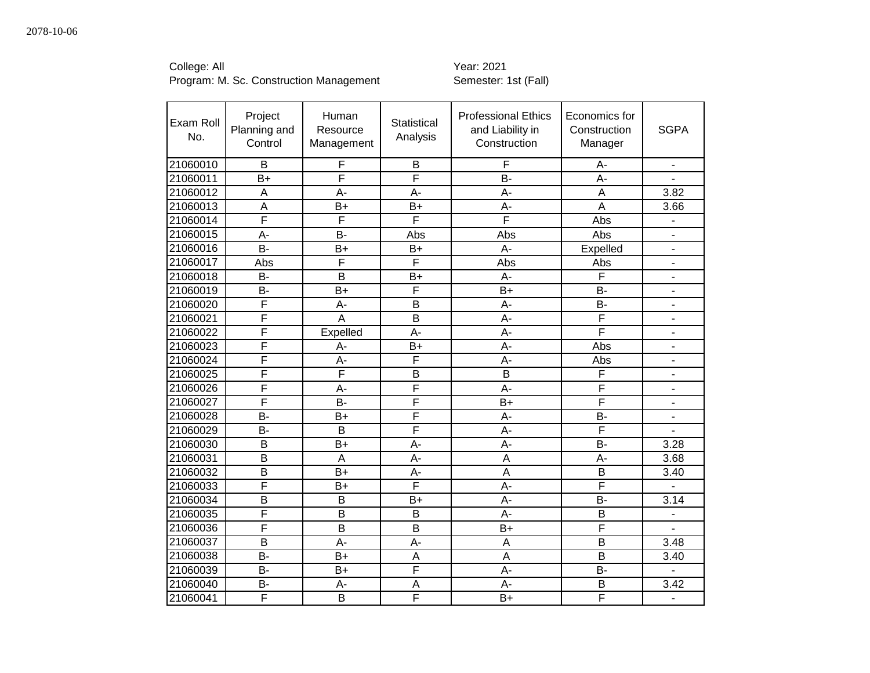| Exam Roll<br>No. | Project<br>Planning and<br>Control | Human<br>Resource<br>Management | Statistical<br>Analysis | <b>Professional Ethics</b><br>and Liability in<br>Construction | Economics for<br>Construction<br>Manager | <b>SGPA</b>              |
|------------------|------------------------------------|---------------------------------|-------------------------|----------------------------------------------------------------|------------------------------------------|--------------------------|
| 21060010         | B                                  | F                               | B                       | F                                                              | A-                                       | $\overline{\phantom{0}}$ |
| 21060011         | $B+$                               | F                               | F                       | <b>B-</b>                                                      | А-                                       |                          |
| 21060012         | Α                                  | А-                              | $A -$                   | A-                                                             | Α                                        | 3.82                     |
| 21060013         | A                                  | $B+$                            | $B+$                    | A-                                                             | A                                        | 3.66                     |
| 21060014         | F                                  | F                               | F                       | F                                                              | Abs                                      | $\overline{a}$           |
| 21060015         | A-                                 | <b>B-</b>                       | Abs                     | Abs                                                            | Abs                                      |                          |
| 21060016         | $\overline{B}$                     | $B+$                            | $B+$                    | A-                                                             | Expelled                                 | $\overline{\phantom{0}}$ |
| 21060017         | Abs                                | F                               | F                       | Abs                                                            | Abs                                      | $\overline{\phantom{0}}$ |
| 21060018         | B-                                 | B                               | $B+$                    | A-                                                             | F                                        | ۰                        |
| 21060019         | <b>B-</b>                          | $B+$                            | F                       | $B+$                                                           | <b>B-</b>                                | $\overline{\phantom{0}}$ |
| 21060020         | F                                  | A-                              | B                       | А-                                                             | <b>B-</b>                                | ۰                        |
| 21060021         | F                                  | A                               | B                       | A-                                                             | F                                        | ۰                        |
| 21060022         | F                                  | Expelled                        | A-                      | A-                                                             | F                                        | $\overline{\phantom{0}}$ |
| 21060023         | F                                  | A-                              | $B+$                    | A-                                                             | Abs                                      | $\frac{1}{2}$            |
| 21060024         | F                                  | A-                              | F                       | A-                                                             | Abs                                      | -                        |
| 21060025         | F                                  | F                               | B                       | $\mathsf B$                                                    | F                                        | $\overline{\phantom{0}}$ |
| 21060026         | F                                  | A-                              | F                       | A-                                                             | F                                        | ٠                        |
| 21060027         | F                                  | <b>B-</b>                       | F                       | $B+$                                                           | F                                        | Ξ.                       |
| 21060028         | <b>B-</b>                          | $B+$                            | $\overline{F}$          | A-                                                             | B-                                       |                          |
| 21060029         | $B -$                              | B                               | $\overline{F}$          | А-                                                             | F                                        |                          |
| 21060030         | B                                  | B+                              | A-                      | A-                                                             | B-                                       | 3.28                     |
| 21060031         | $\overline{\mathsf{B}}$            | A                               | A-                      | A                                                              | A-                                       | 3.68                     |
| 21060032         | $\overline{\mathsf{B}}$            | $B+$                            | A-                      | $\overline{A}$                                                 | B                                        | 3.40                     |
| 21060033         | F                                  | $B+$                            | F                       | A-                                                             | F                                        |                          |
| 21060034         | B                                  | B                               | $B+$                    | A-                                                             | <b>B-</b>                                | 3.14                     |
| 21060035         | F                                  | B                               | B                       | A-                                                             | B                                        |                          |
| 21060036         | F                                  | B                               | B                       | $B+$                                                           | F                                        |                          |
| 21060037         | B                                  | A-                              | A-                      | A                                                              | B                                        | 3.48                     |
| 21060038         | <b>B-</b>                          | $B+$                            | A                       | A                                                              | B                                        | 3.40                     |
| 21060039         | <b>B-</b>                          | $B+$                            | F                       | A-                                                             | <b>B-</b>                                | $\overline{a}$           |
| 21060040         | <b>B-</b>                          | A-                              | A                       | A-                                                             | B                                        | 3.42                     |
| 21060041         | F                                  | B                               | $\overline{F}$          | $B+$                                                           | F                                        | ÷,                       |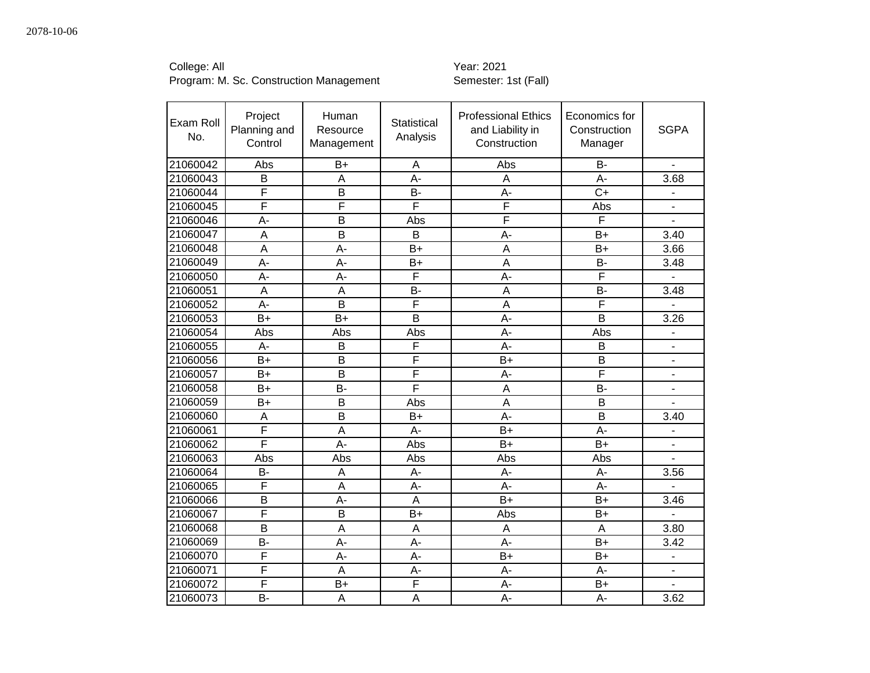College: All Year: 2021

| Exam Roll<br>No. | Project<br>Planning and<br>Control | Human<br>Resource<br>Management | Statistical<br>Analysis | <b>Professional Ethics</b><br>and Liability in<br>Construction | Economics for<br>Construction<br>Manager | <b>SGPA</b>              |
|------------------|------------------------------------|---------------------------------|-------------------------|----------------------------------------------------------------|------------------------------------------|--------------------------|
| 21060042         | Abs                                | $B+$                            | A                       | Abs                                                            | <b>B-</b>                                |                          |
| 21060043         | B                                  | A                               | A-                      | A                                                              | A-                                       | 3.68                     |
| 21060044         | F                                  | B                               | B-                      | A-                                                             | $C+$                                     |                          |
| 21060045         | F                                  | Ē                               | $\overline{F}$          | F                                                              | Abs                                      |                          |
| 21060046         | A-                                 | B                               | Abs                     | F                                                              | $\overline{\mathsf{F}}$                  |                          |
| 21060047         | A                                  | B                               | B                       | А-                                                             | $B+$                                     | 3.40                     |
| 21060048         | A                                  | $A -$                           | $B+$                    | A                                                              | $B+$                                     | 3.66                     |
| 21060049         | A-                                 | A-                              | $B+$                    | A                                                              | <b>B-</b>                                | 3.48                     |
| 21060050         | A-                                 | $A -$                           | F                       | A-                                                             | F                                        |                          |
| 21060051         | $\overline{A}$                     | $\overline{A}$                  | <b>B-</b>               | $\overline{A}$                                                 | $B -$                                    | 3.48                     |
| 21060052         | A-                                 | B                               | F                       | A                                                              | F                                        |                          |
| 21060053         | $B+$                               | $B+$                            | B                       | $A -$                                                          | B                                        | 3.26                     |
| 21060054         | Abs                                | Abs                             | Abs                     | $A -$                                                          | Abs                                      | $\blacksquare$           |
| 21060055         | A-                                 | B                               | F                       | A-                                                             | B                                        | $\blacksquare$           |
| 21060056         | $B+$                               | B                               | $\overline{F}$          | $B+$                                                           | B                                        |                          |
| 21060057         | $B+$                               | B                               | F                       | $A -$                                                          | $\overline{\mathsf{F}}$                  | $\blacksquare$           |
| 21060058         | $B+$                               | <b>B-</b>                       | F                       | A                                                              | <b>B-</b>                                |                          |
| 21060059         | $B+$                               | B                               | Abs                     | A                                                              | B                                        |                          |
| 21060060         | A                                  | B                               | $B+$                    | A-                                                             | B                                        | 3.40                     |
| 21060061         | F                                  | A                               | A-                      | $B+$                                                           | A-                                       |                          |
| 21060062         | $\overline{\mathsf{F}}$            | $A -$                           | Abs                     | $B+$                                                           | $B+$                                     |                          |
| 21060063         | Abs                                | Abs                             | Abs                     | Abs                                                            | Abs                                      |                          |
| 21060064         | B-                                 | A                               | A-                      | A-                                                             | A-                                       | 3.56                     |
| 21060065         | F                                  | A                               | A-                      | A-                                                             | A-                                       |                          |
| 21060066         | B                                  | $A -$                           | A                       | $B+$                                                           | $B+$                                     | 3.46                     |
| 21060067         | F                                  | B                               | $B+$                    | Abs                                                            | $B+$                                     |                          |
| 21060068         | $\overline{B}$                     | $\overline{A}$                  | A                       | A                                                              | A                                        | 3.80                     |
| 21060069         | <b>B-</b>                          | $A -$                           | A-                      | A-                                                             | $B+$                                     | 3.42                     |
| 21060070         | F                                  | $A -$                           | A-                      | $B+$                                                           | $B+$                                     | $\overline{\phantom{a}}$ |
| 21060071         | F                                  | A                               | A-                      | A-                                                             | A-                                       | $\blacksquare$           |
| 21060072         | F                                  | $B+$                            | F                       | A-                                                             | $B+$                                     | $\blacksquare$           |
| 21060073         | B-                                 | A                               | A                       | A-                                                             | $A -$                                    | 3.62                     |